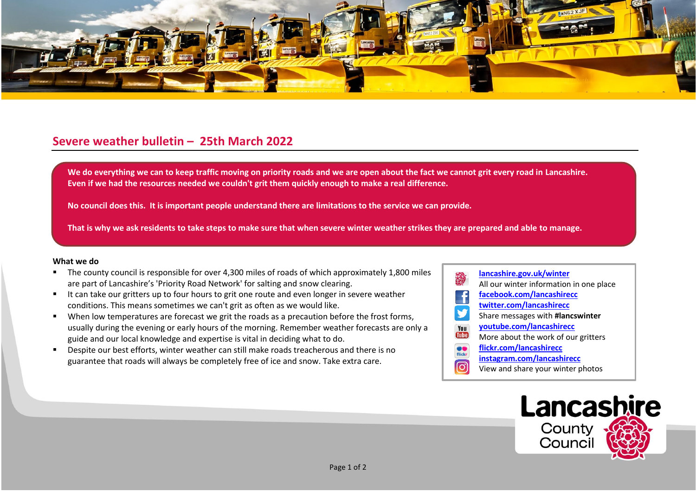

## **Severe weather bulletin – 25th March 2022**

We do everything we can to keep traffic moving on priority roads and we are open about the fact we cannot grit every road in Lancashire. **Even if we had the resources needed we couldn't grit them quickly enough to make a real difference.**

**No council does this. It is important people understand there are limitations to the service we can provide.**

**That is why we ask residents to take steps to make sure that when severe winter weather strikes they are prepared and able to manage.**

## **What we do**

- The county council is responsible for over 4,300 miles of roads of which approximately 1,800 miles are part of Lancashire's 'Priority Road Network' for salting and snow clearing.
- It can take our gritters up to four hours to grit one route and even longer in severe weather conditions. This means sometimes we can't grit as often as we would like.
- When low temperatures are forecast we grit the roads as a precaution before the frost forms, usually during the evening or early hours of the morning. Remember weather forecasts are only a guide and our local knowledge and expertise is vital in deciding what to do.
- Despite our best efforts, winter weather can still make roads treacherous and there is no guarantee that roads will always be completely free of ice and snow. Take extra care.
- **[lancashire.gov.uk/winter](http://www.lancashire.gov.uk/winter)** All our winter information in one place **[facebook.com/lancashirecc](http://www.facebook.com/lancashirecc) [twitter.com/lancashirecc](http://www.twitter.com/lancashirecc)** y Share messages with **#lancswinter [youtube.com/lancashirecc](http://www.youtube.com/lancashirecc)** You **Tilte** More about the work of our gritters  $\bullet$ **[flickr.com/lancashirecc](http://www.flickr.com/lancashirecc)** flickr **[instagram.com/lancashirecc](http://www.instagram.com/lancashirecc)** [O] View and share your winter photos